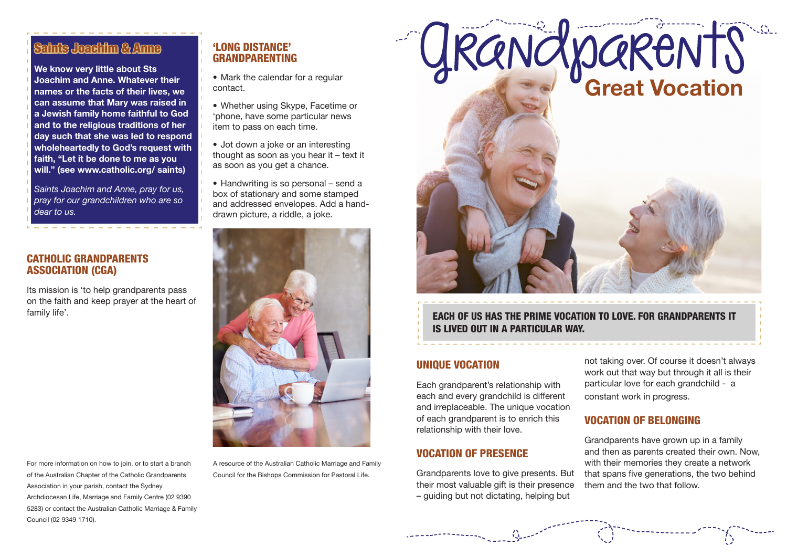# Saints Joachim & Anne

**We know very little about Sts Joachim and Anne. Whatever their names or the facts of their lives, we can assume that Mary was raised in a Jewish family home faithful to God and to the religious traditions of her day such that she was led to respond wholeheartedly to God's request with faith, "Let it be done to me as you will." (see www.catholic.org/ saints)**

*Saints Joachim and Anne, pray for us, pray for our grandchildren who are so dear to us.*

### CATHOLIC GRANDPARENTS ASSOCIATION (CGA)

Its mission is 'to help grandparents pass on the faith and keep prayer at the heart of family life'.

For more information on how to join, or to start a branch of the Australian Chapter of the Catholic Grandparents Association in your parish, contact the Sydney Archdiocesan Life, Marriage and Family Centre (02 9390 5283) or contact the Australian Catholic Marriage & Family Council (02 9349 1710).

## 'LONG DISTANCE' GRANDPARENTING

• Mark the calendar for a regular contact.

- Whether using Skype, Facetime or 'phone, have some particular news item to pass on each time.
- Jot down a joke or an interesting thought as soon as you hear it – text it as soon as you get a chance.
- Handwriting is so personal send a box of stationary and some stamped and addressed envelopes. Add a handdrawn picture, a riddle, a joke.



A resource of the Australian Catholic Marriage and Family Council for the Bishops Commission for Pastoral Life.



EACH OF US HAS THE PRIME VOCATION TO LOVE. FOR GRANDPARENTS IT IS LIVED OUT IN A PARTICULAR WAY.

### UNIQUE VOCATION

Each grandparent's relationship with each and every grandchild is different and irreplaceable. The unique vocation of each grandparent is to enrich this relationship with their love.

## VOCATION OF PRESENCE

Grandparents love to give presents. But their most valuable gift is their presence – guiding but not dictating, helping but

not taking over. Of course it doesn't always work out that way but through it all is their particular love for each grandchild - a constant work in progress.

## VOCATION OF BELONGING

Grandparents have grown up in a family and then as parents created their own. Now, with their memories they create a network that spans five generations, the two behind them and the two that follow.